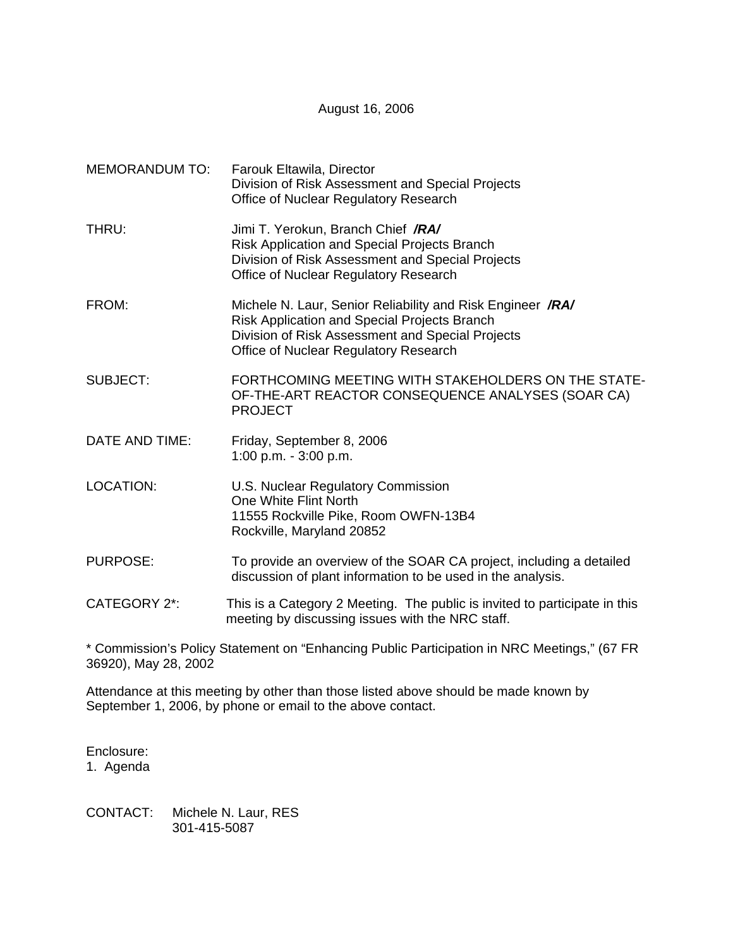August 16, 2006

| <b>MEMORANDUM TO:</b> | Farouk Eltawila, Director<br>Division of Risk Assessment and Special Projects<br>Office of Nuclear Regulatory Research                                                                                  |
|-----------------------|---------------------------------------------------------------------------------------------------------------------------------------------------------------------------------------------------------|
| THRU:                 | Jimi T. Yerokun, Branch Chief /RA/<br><b>Risk Application and Special Projects Branch</b><br>Division of Risk Assessment and Special Projects<br>Office of Nuclear Regulatory Research                  |
| FROM:                 | Michele N. Laur, Senior Reliability and Risk Engineer /RA/<br>Risk Application and Special Projects Branch<br>Division of Risk Assessment and Special Projects<br>Office of Nuclear Regulatory Research |
| <b>SUBJECT:</b>       | FORTHCOMING MEETING WITH STAKEHOLDERS ON THE STATE-<br>OF-THE-ART REACTOR CONSEQUENCE ANALYSES (SOAR CA)<br><b>PROJECT</b>                                                                              |
| DATE AND TIME:        | Friday, September 8, 2006<br>1:00 p.m. $-3:00$ p.m.                                                                                                                                                     |
| <b>LOCATION:</b>      | U.S. Nuclear Regulatory Commission<br>One White Flint North<br>11555 Rockville Pike, Room OWFN-13B4<br>Rockville, Maryland 20852                                                                        |
| <b>PURPOSE:</b>       | To provide an overview of the SOAR CA project, including a detailed<br>discussion of plant information to be used in the analysis.                                                                      |
| <b>CATEGORY 2*:</b>   | This is a Category 2 Meeting. The public is invited to participate in this<br>meeting by discussing issues with the NRC staff.                                                                          |

\* Commission's Policy Statement on "Enhancing Public Participation in NRC Meetings," (67 FR 36920), May 28, 2002

Attendance at this meeting by other than those listed above should be made known by September 1, 2006, by phone or email to the above contact.

Enclosure: 1. Agenda

CONTACT: Michele N. Laur, RES 301-415-5087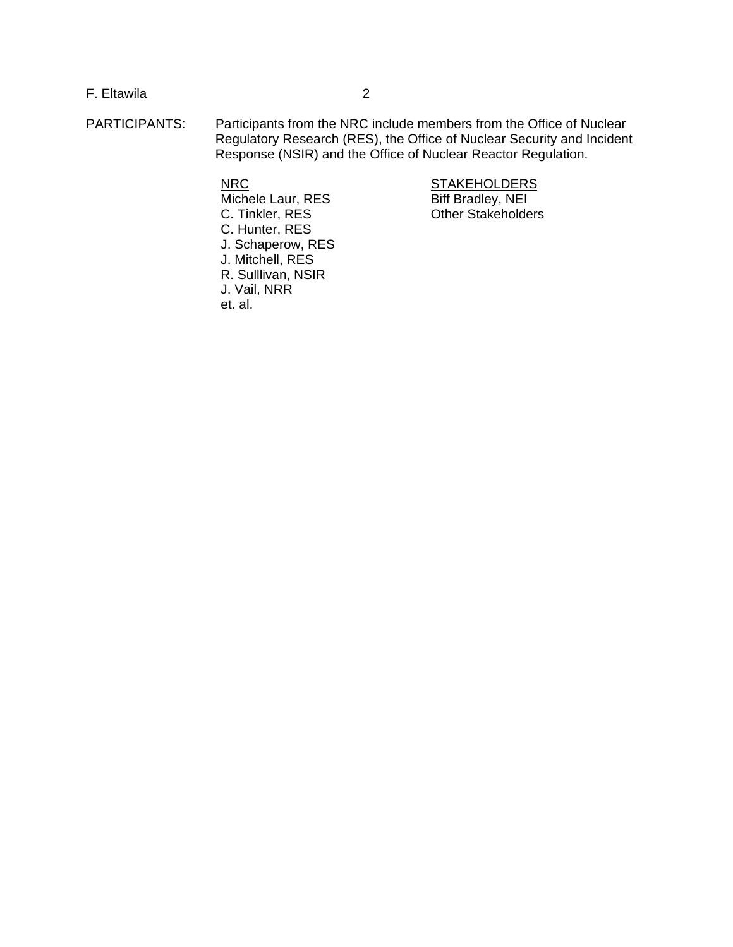## F. Eltawila 2

PARTICIPANTS: Participants from the NRC include members from the Office of Nuclear Regulatory Research (RES), the Office of Nuclear Security and Incident Response (NSIR) and the Office of Nuclear Reactor Regulation.

 $\overline{\text{Michele}}$  Laur, RES C. Tinkler, RES Other Stakeholders C. Hunter, RES J. Schaperow, RES J. Mitchell, RES R. Sulllivan, NSIR J. Vail, NRR et. al.

NRC<br>
Michele Laur, RES

STAKEHOLDERS

Biff Bradley, NEI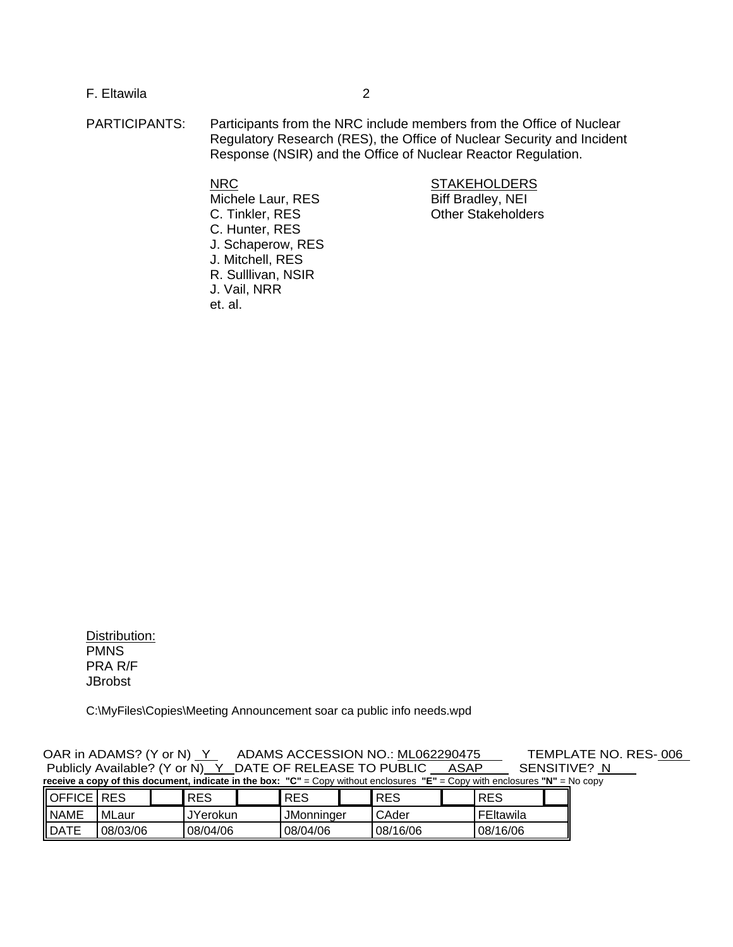F. Eltawila 2

PARTICIPANTS: Participants from the NRC include members from the Office of Nuclear Regulatory Research (RES), the Office of Nuclear Security and Incident Response (NSIR) and the Office of Nuclear Reactor Regulation.

Michele Laur, RES Biff Bradley, NEI C. Tinkler, RES Other Stakeholders C. Hunter, RES J. Schaperow, RES J. Mitchell, RES R. Sulllivan, NSIR J. Vail, NRR et. al.

NRC STAKEHOLDERS

Distribution: PMNS PRA R/F **JBrobst** 

C:\MyFiles\Copies\Meeting Announcement soar ca public info needs.wpd

OAR in ADAMS? (Y or N) Y ADAMS ACCESSION NO.: ML062290475 TEMPLATE NO. RES-006<br>Publicly Available? (Y or N) Y DATE OF RELEASE TO PUBLIC ASAP SENSITIVE? N Publicly Available? (Y or N) Y DATE OF RELEASE TO PUBLIC ASAP **receive a copy of this document, indicate in the box: "C"** = Copy without enclosures **"E"** = Copy with enclosures **"N"** = No copy

| OFFICE      | <b>RES</b> | <b>RES</b>      | <b>RES</b>        | <b>RES</b> | <b>RES</b> |  |
|-------------|------------|-----------------|-------------------|------------|------------|--|
| <b>NAME</b> | MLaur      | <b>JYerokun</b> | <b>JMonninger</b> | l CAder    | FEItawila  |  |
| <b>DATE</b> | 08/03/06   | 08/04/06        | 08/04/06          | 08/16/06   | 08/16/06   |  |